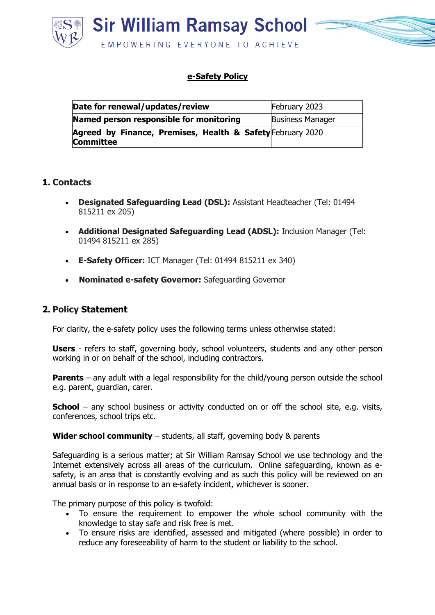

### **e-Safety Policy**

| Date for renewal/updates/review                                                | February 2023           |
|--------------------------------------------------------------------------------|-------------------------|
| Named person responsible for monitoring                                        | <b>Business Manager</b> |
| Agreed by Finance, Premises, Health & Safety February 2020<br><b>Committee</b> |                         |

#### **1. Contacts**

- **Designated Safeguarding Lead (DSL):** Assistant Headteacher (Tel: 01494 815211 ex 205)
- **Additional Designated Safeguarding Lead (ADSL):** Inclusion Manager (Tel: 01494 815211 ex 285)
- **E-Safety Officer:** ICT Manager (Tel: 01494 815211 ex 340)
- **Nominated e-safety Governor:** Safeguarding Governor

## **2. Policy Statement**

For clarity, the e-safety policy uses the following terms unless otherwise stated:

**Users** - refers to staff, governing body, school volunteers, students and any other person working in or on behalf of the school, including contractors.

**Parents** – any adult with a legal responsibility for the child/young person outside the school e.g. parent, guardian, carer.

**School** – any school business or activity conducted on or off the school site, e.g. visits, conferences, school trips etc.

**Wider school community** – students, all staff, governing body & parents

Safeguarding is a serious matter; at Sir William Ramsay School we use technology and the Internet extensively across all areas of the curriculum. Online safeguarding, known as esafety, is an area that is constantly evolving and as such this policy will be reviewed on an annual basis or in response to an e-safety incident, whichever is sooner.

The primary purpose of this policy is twofold:

- To ensure the requirement to empower the whole school community with the knowledge to stay safe and risk free is met.
- To ensure risks are identified, assessed and mitigated (where possible) in order to reduce any foreseeability of harm to the student or liability to the school.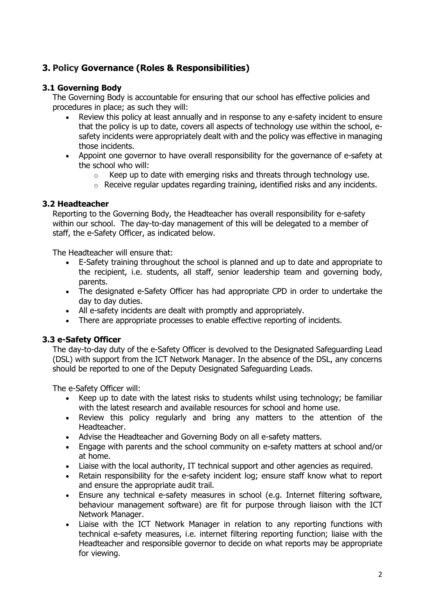# **3. Policy Governance (Roles & Responsibilities)**

#### **3.1 Governing Body**

The Governing Body is accountable for ensuring that our school has effective policies and procedures in place; as such they will:

- Review this policy at least annually and in response to any e-safety incident to ensure that the policy is up to date, covers all aspects of technology use within the school, esafety incidents were appropriately dealt with and the policy was effective in managing those incidents.
- Appoint one governor to have overall responsibility for the governance of e-safety at the school who will:
	- $\circ$  Keep up to date with emerging risks and threats through technology use.
	- o Receive regular updates regarding training, identified risks and any incidents.

#### **3.2 Headteacher**

Reporting to the Governing Body, the Headteacher has overall responsibility for e-safety within our school. The day-to-day management of this will be delegated to a member of staff, the e-Safety Officer, as indicated below.

The Headteacher will ensure that:

- E-Safety training throughout the school is planned and up to date and appropriate to the recipient, i.e. students, all staff, senior leadership team and governing body, parents.
- The designated e-Safety Officer has had appropriate CPD in order to undertake the day to day duties.
- All e-safety incidents are dealt with promptly and appropriately.
- There are appropriate processes to enable effective reporting of incidents.

#### **3.3 e-Safety Officer**

The day-to-day duty of the e-Safety Officer is devolved to the Designated Safeguarding Lead (DSL) with support from the ICT Network Manager. In the absence of the DSL, any concerns should be reported to one of the Deputy Designated Safeguarding Leads.

The e-Safety Officer will:

- Keep up to date with the latest risks to students whilst using technology; be familiar with the latest research and available resources for school and home use.
- Review this policy regularly and bring any matters to the attention of the Headteacher.
- Advise the Headteacher and Governing Body on all e-safety matters.
- Engage with parents and the school community on e-safety matters at school and/or at home.
- Liaise with the local authority, IT technical support and other agencies as required.
- Retain responsibility for the e-safety incident log; ensure staff know what to report and ensure the appropriate audit trail.
- Ensure any technical e-safety measures in school (e.g. Internet filtering software, behaviour management software) are fit for purpose through liaison with the ICT Network Manager.
- Liaise with the ICT Network Manager in relation to any reporting functions with technical e-safety measures, i.e. internet filtering reporting function; liaise with the Headteacher and responsible governor to decide on what reports may be appropriate for viewing.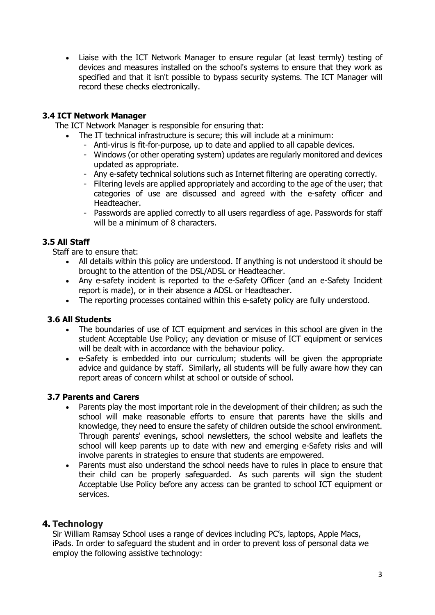• Liaise with the ICT Network Manager to ensure regular (at least termly) testing of devices and measures installed on the school's systems to ensure that they work as specified and that it isn't possible to bypass security systems. The ICT Manager will record these checks electronically.

### **3.4 ICT Network Manager**

The ICT Network Manager is responsible for ensuring that:

- The IT technical infrastructure is secure; this will include at a minimum:
	- Anti-virus is fit-for-purpose, up to date and applied to all capable devices.
	- Windows (or other operating system) updates are regularly monitored and devices updated as appropriate.
	- Any e-safety technical solutions such as Internet filtering are operating correctly.
	- Filtering levels are applied appropriately and according to the age of the user; that categories of use are discussed and agreed with the e-safety officer and Headteacher.
	- Passwords are applied correctly to all users regardless of age. Passwords for staff will be a minimum of 8 characters.

### **3.5 All Staff**

Staff are to ensure that:

- All details within this policy are understood. If anything is not understood it should be brought to the attention of the DSL/ADSL or Headteacher.
- Any e-safety incident is reported to the e-Safety Officer (and an e-Safety Incident report is made), or in their absence a ADSL or Headteacher.
- The reporting processes contained within this e-safety policy are fully understood.

#### **3.6 All Students**

- The boundaries of use of ICT equipment and services in this school are given in the student Acceptable Use Policy; any deviation or misuse of ICT equipment or services will be dealt with in accordance with the behaviour policy.
- e-Safety is embedded into our curriculum; students will be given the appropriate advice and guidance by staff. Similarly, all students will be fully aware how they can report areas of concern whilst at school or outside of school.

#### **3.7 Parents and Carers**

- Parents play the most important role in the development of their children; as such the school will make reasonable efforts to ensure that parents have the skills and knowledge, they need to ensure the safety of children outside the school environment. Through parents' evenings, school newsletters, the school website and leaflets the school will keep parents up to date with new and emerging e-Safety risks and will involve parents in strategies to ensure that students are empowered.
- Parents must also understand the school needs have to rules in place to ensure that their child can be properly safeguarded. As such parents will sign the student Acceptable Use Policy before any access can be granted to school ICT equipment or services.

# **4. Technology**

Sir William Ramsay School uses a range of devices including PC's, laptops, Apple Macs, iPads. In order to safeguard the student and in order to prevent loss of personal data we employ the following assistive technology: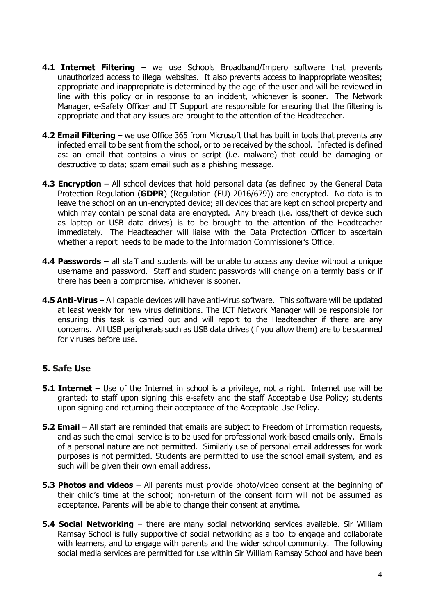- **4.1 Internet Filtering** we use Schools Broadband/Impero software that prevents unauthorized access to illegal websites. It also prevents access to inappropriate websites; appropriate and inappropriate is determined by the age of the user and will be reviewed in line with this policy or in response to an incident, whichever is sooner. The Network Manager, e-Safety Officer and IT Support are responsible for ensuring that the filtering is appropriate and that any issues are brought to the attention of the Headteacher.
- **4.2 Email Filtering** we use Office 365 from Microsoft that has built in tools that prevents any infected email to be sent from the school, or to be received by the school. Infected is defined as: an email that contains a virus or script (i.e. malware) that could be damaging or destructive to data; spam email such as a phishing message.
- **4.3 Encryption** All school devices that hold personal data (as defined by the General Data Protection Regulation (**GDPR**) (Regulation (EU) 2016/679)) are encrypted. No data is to leave the school on an un-encrypted device; all devices that are kept on school property and which may contain personal data are encrypted. Any breach (i.e. loss/theft of device such as laptop or USB data drives) is to be brought to the attention of the Headteacher immediately. The Headteacher will liaise with the Data Protection Officer to ascertain whether a report needs to be made to the Information Commissioner's Office.
- **4.4 Passwords** all staff and students will be unable to access any device without a unique username and password. Staff and student passwords will change on a termly basis or if there has been a compromise, whichever is sooner.
- **4.5 Anti-Virus** All capable devices will have anti-virus software. This software will be updated at least weekly for new virus definitions. The ICT Network Manager will be responsible for ensuring this task is carried out and will report to the Headteacher if there are any concerns. All USB peripherals such as USB data drives (if you allow them) are to be scanned for viruses before use.

# **5. Safe Use**

- **5.1 Internet** Use of the Internet in school is a privilege, not a right. Internet use will be granted: to staff upon signing this e-safety and the staff Acceptable Use Policy; students upon signing and returning their acceptance of the Acceptable Use Policy.
- **5.2 Email** All staff are reminded that emails are subject to Freedom of Information requests, and as such the email service is to be used for professional work-based emails only. Emails of a personal nature are not permitted. Similarly use of personal email addresses for work purposes is not permitted. Students are permitted to use the school email system, and as such will be given their own email address.
- **5.3 Photos and videos** All parents must provide photo/video consent at the beginning of their child's time at the school; non-return of the consent form will not be assumed as acceptance. Parents will be able to change their consent at anytime.
- **5.4 Social Networking** there are many social networking services available. Sir William Ramsay School is fully supportive of social networking as a tool to engage and collaborate with learners, and to engage with parents and the wider school community. The following social media services are permitted for use within Sir William Ramsay School and have been